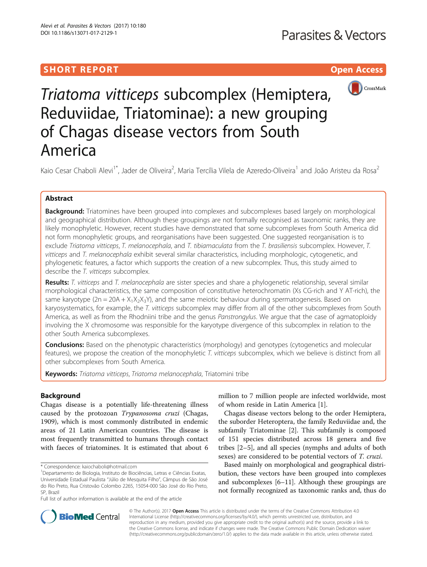# SHORT REPORT **The Contract of Contract Contract Contract Contract Contract Contract Contract Contract Contract Contract Contract Contract Contract Contract Contract Contract Contract Contract Contract Contract Contract Con**



Triatoma vitticeps subcomplex (Hemiptera, Reduviidae, Triatominae): a new grouping of Chagas disease vectors from South America

Kaio Cesar Chaboli Alevi<sup>1\*</sup>, Jader de Oliveira<sup>2</sup>, Maria Tercília Vilela de Azeredo-Oliveira<sup>1</sup> and João Aristeu da Rosa<sup>2</sup>

## Abstract

Background: Triatomines have been grouped into complexes and subcomplexes based largely on morphological and geographical distribution. Although these groupings are not formally recognised as taxonomic ranks, they are likely monophyletic. However, recent studies have demonstrated that some subcomplexes from South America did not form monophyletic groups, and reorganisations have been suggested. One suggested reorganisation is to exclude Triatoma vitticeps, T. melanocephala, and T. tibiamaculata from the T. brasiliensis subcomplex. However, T. vitticeps and T. melanocephala exhibit several similar characteristics, including morphologic, cytogenetic, and phylogenetic features, a factor which supports the creation of a new subcomplex. Thus, this study aimed to describe the T. vitticeps subcomplex.

Results: T. vitticeps and T. melanocephala are sister species and share a phylogenetic relationship, several similar morphological characteristics, the same composition of constitutive heterochromatin (Xs CG-rich and Y AT-rich), the same karyotype (2n = 20A +  $X_1X_2X_3Y$ ), and the same meiotic behaviour during spermatogenesis. Based on karyosystematics, for example, the T. vitticeps subcomplex may differ from all of the other subcomplexes from South America, as well as from the Rhodniini tribe and the genus Panstrongylus. We argue that the case of agmatoploidy involving the X chromosome was responsible for the karyotype divergence of this subcomplex in relation to the other South America subcomplexes.

**Conclusions:** Based on the phenotypic characteristics (morphology) and genotypes (cytogenetics and molecular features), we propose the creation of the monophyletic T. vitticeps subcomplex, which we believe is distinct from all other subcomplexes from South America.

Keywords: Triatoma vitticeps, Triatoma melanocephala, Triatomini tribe

## Background

Chagas disease is a potentially life-threatening illness caused by the protozoan Trypanosoma cruzi (Chagas, 1909), which is most commonly distributed in endemic areas of 21 Latin American countries. The disease is most frequently transmitted to humans through contact with faeces of triatomines. It is estimated that about 6

Full list of author information is available at the end of the article

million to 7 million people are infected worldwide, most of whom reside in Latin America [[1\]](#page-3-0).

Chagas disease vectors belong to the order Hemiptera, the suborder Heteroptera, the family Reduviidae and, the subfamily Triatominae [\[2\]](#page-3-0). This subfamily is composed of 151 species distributed across 18 genera and five tribes [\[2](#page-3-0)–[5\]](#page-3-0), and all species (nymphs and adults of both sexes) are considered to be potential vectors of *T. cruzi*.

Based mainly on morphological and geographical distribution, these vectors have been grouped into complexes and subcomplexes [[6](#page-3-0)–[11\]](#page-3-0). Although these groupings are not formally recognized as taxonomic ranks and, thus do



© The Author(s). 2017 **Open Access** This article is distributed under the terms of the Creative Commons Attribution 4.0 International License [\(http://creativecommons.org/licenses/by/4.0/](http://creativecommons.org/licenses/by/4.0/)), which permits unrestricted use, distribution, and reproduction in any medium, provided you give appropriate credit to the original author(s) and the source, provide a link to the Creative Commons license, and indicate if changes were made. The Creative Commons Public Domain Dedication waiver [\(http://creativecommons.org/publicdomain/zero/1.0/](http://creativecommons.org/publicdomain/zero/1.0/)) applies to the data made available in this article, unless otherwise stated.

<sup>\*</sup> Correspondence: [kaiochaboli@hotmail.com](mailto:kaiochaboli@hotmail.com) <sup>1</sup>

Departamento de Biologia, Instituto de Biociências, Letras e Ciências Exatas, Universidade Estadual Paulista "Júlio de Mesquita Filho", Câmpus de São José do Rio Preto, Rua Cristovão Colombo 2265, 15054-000 São José do Rio Preto, SP, Brazil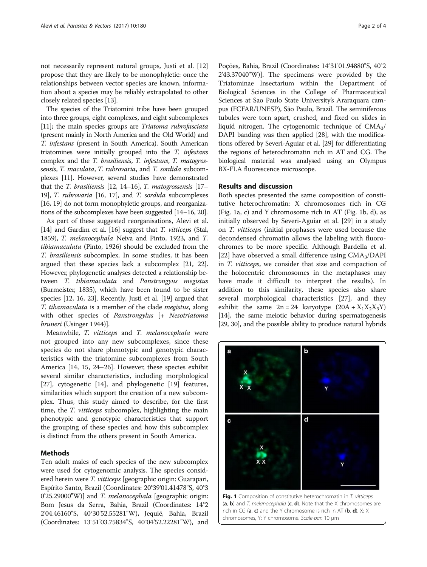not necessarily represent natural groups, Justi et al. [[12](#page-3-0)] propose that they are likely to be monophyletic: once the relationships between vector species are known, information about a species may be reliably extrapolated to other closely related species [\[13](#page-3-0)].

The species of the Triatomini tribe have been grouped into three groups, eight complexes, and eight subcomplexes [[11](#page-3-0)]; the main species groups are Triatoma rubrofasciata (present mainly in North America and the Old World) and T. infestans (present in South America). South American triatomines were initially grouped into the T. infestans complex and the T. brasiliensis, T. infestans, T. matogrossensis, T. maculata, T. rubrovaria, and T. sordida subcomplexes [\[11](#page-3-0)]. However, several studies have demonstrated that the T. brasiliensis [\[12, 14](#page-3-0)–[16](#page-3-0)], T. matogrossensis [\[17](#page-3-0)– [19](#page-3-0)], T. rubrovaria [\[16, 17](#page-3-0)], and T. sordida subcomplexes [[16](#page-3-0), [19](#page-3-0)] do not form monophyletic groups, and reorganizations of the subcomplexes have been suggested [\[14](#page-3-0)–[16, 20\]](#page-3-0).

As part of these suggested reorganisations, Alevi et al. [[14](#page-3-0)] and Gardim et al. [[16\]](#page-3-0) suggest that *T. vitticeps* (Stal, 1859), T. melanocephala Neiva and Pinto, 1923, and T. tibiamaculata (Pinto, 1926) should be excluded from the T. brasiliensis subcomplex. In some studies, it has been argued that these species lack a subcomplex [\[21](#page-3-0), [22](#page-3-0)]. However, phylogenetic analyses detected a relationship between T. tibiamaculata and Panstrongyus megistus (Burmeister, 1835), which have been found to be sister species [\[12](#page-3-0), [16](#page-3-0), [23\]](#page-3-0). Recently, Justi et al. [[19](#page-3-0)] argued that T. tibamaculata is a member of the clade megistus, along with other species of Panstrongylus [+ Nesotriatoma bruneri (Usinger 1944)].

Meanwhile, T. vitticeps and T. melanocephala were not grouped into any new subcomplexes, since these species do not share phenotypic and genotypic characteristics with the triatomine subcomplexes from South America [\[14, 15, 24](#page-3-0)–[26\]](#page-3-0). However, these species exhibit several similar characteristics, including morphological [[27\]](#page-3-0), cytogenetic [[14](#page-3-0)], and phylogenetic [[19](#page-3-0)] features, similarities which support the creation of a new subcomplex. Thus, this study aimed to describe, for the first time, the *T. vitticeps* subcomplex, highlighting the main phenotypic and genotypic characteristics that support the grouping of these species and how this subcomplex is distinct from the others present in South America.

## Methods

Ten adult males of each species of the new subcomplex were used for cytogenomic analysis. The species considered herein were T. vitticeps [geographic origin: Guarapari, Espírito Santo, Brazil (Coordinates: 20°39'01.41478"S, 40°3 0'25.29000"W)] and *T. melanocephala* [geographic origin: Bom Jesus da Serra, Bahia, Brazil (Coordinates: 14°2 2'04.46160"S, 40°30'52.55281"W), Jequié, Bahia, Brazil (Coordinates: 13°51'03.75834"S, 40°04'52.22281"W), and Poções, Bahia, Brazil (Coordinates: 14°31'01.94880"S, 40°2 2'43.37040"W)]. The specimens were provided by the Triatominae Insectarium within the Department of Biological Sciences in the College of Pharmaceutical Sciences at Sao Paulo State University's Araraquara campus (FCFAR/UNESP), São Paulo, Brazil. The seminiferous tubules were torn apart, crushed, and fixed on slides in liquid nitrogen. The cytogenomic technique of  $CMA<sub>3</sub>/$ DAPI banding was then applied [[28](#page-3-0)], with the modifications offered by Severi-Aguiar et al. [[29](#page-3-0)] for differentiating the regions of heterochromatin rich in AT and CG. The biological material was analysed using an Olympus BX-FLA fluorescence microscope.

## Results and discussion

Both species presented the same composition of constitutive heterochromatin: X chromosomes rich in CG (Fig. 1a, c) and Y chromosome rich in AT (Fig. 1b, d), as initially observed by Severi-Aguiar et al. [[29](#page-3-0)] in a study on T. vitticeps (initial prophases were used because the decondensed chromatin allows the labeling with fluorochromes to be more specific. Although Bardella et al. [[22\]](#page-3-0) have observed a small difference using  $CMA<sub>3</sub>/DAPI$ in T. vitticeps, we consider that size and compaction of the holocentric chromosomes in the metaphases may have made it difficult to interpret the results). In addition to this similarity, these species also share several morphological characteristics [[27\]](#page-3-0), and they exhibit the same  $2n = 24$  karyotype  $(20A + X_1X_2X_3Y)$ [[14\]](#page-3-0), the same meiotic behavior during spermatogenesis [[29](#page-3-0), [30\]](#page-3-0), and the possible ability to produce natural hybrids



Fig. 1 Composition of constitutive heterochromatin in T. vitticeps (a, b) and T. melanocephala  $(c, d)$ . Note that the X chromosomes are rich in CG  $(a, c)$  and the Y chromosome is rich in AT  $(b, d)$ . X: X chromosomes, Y: Y chromosome. Scale-bar: 10 μm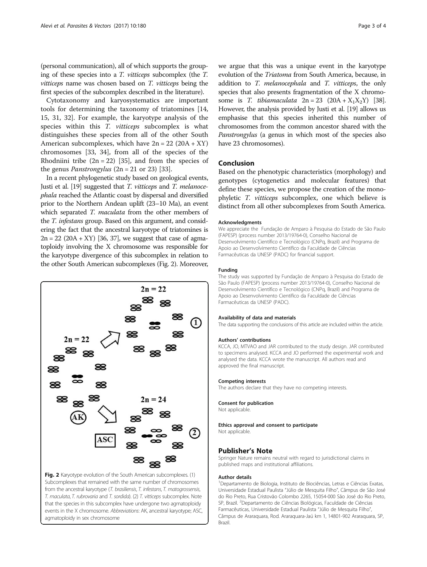(personal communication), all of which supports the grouping of these species into a T. vitticeps subcomplex (the T. vitticeps name was chosen based on T. vitticeps being the first species of the subcomplex described in the literature).

Cytotaxonomy and karyosystematics are important tools for determining the taxonomy of triatomines [[14](#page-3-0), [15, 31, 32](#page-3-0)]. For example, the karyotype analysis of the species within this *T. vitticeps* subcomplex is what distinguishes these species from all of the other South American subcomplexes, which have  $2n = 22 (20A + XY)$ chromosomes [\[33, 34](#page-3-0)], from all of the species of the Rhodniini tribe  $(2n = 22)$  [[35](#page-3-0)], and from the species of the genus *Panstrongylus*  $(2n = 21 \text{ or } 23)$  [\[33\]](#page-3-0).

In a recent phylogenetic study based on geological events, Justi et al. [[19](#page-3-0)] suggested that T. vitticeps and T. melanocephala reached the Atlantic coast by dispersal and diversified prior to the Northern Andean uplift (23–10 Ma), an event which separated T. maculata from the other members of the T. infestans group. Based on this argument, and considering the fact that the ancestral karyotype of triatomines is  $2n = 22 (20A + XY)$  [\[36, 37](#page-3-0)], we suggest that case of agmatoploidy involving the X chromosome was responsible for the karyotype divergence of this subcomplex in relation to the other South American subcomplexes (Fig. 2). Moreover,



Subcomplexes that remained with the same number of chromosomes from the ancestral karyotype (T. brasiliensis, T. infestans, T. matogrossensis, T. maculata, T. rubrovaria and T. sordida). (2) T. vitticeps subcomplex. Note that the species in this subcomplex have undergone two agmatoploidy events in the X chromosome. Abbreviations: AK, ancestral karyotype; ASC, agmatoploidy in sex chromosome

we argue that this was a unique event in the karyotype evolution of the Triatoma from South America, because, in addition to T. melanocephala and T. vitticeps, the only species that also presents fragmentation of the X chromosome is T. tibiamaculata  $2n = 23 (20A + X_1X_2Y)$  [\[38](#page-3-0)]. However, the analysis provided by Justi et al. [\[19](#page-3-0)] allows us emphasise that this species inherited this number of chromosomes from the common ancestor shared with the Panstrongylus (a genus in which most of the species also have 23 chromosomes).

## Conclusion

Based on the phenotypic characteristics (morphology) and genotypes (cytogenetics and molecular features) that define these species, we propose the creation of the monophyletic T. vitticeps subcomplex, one which believe is distinct from all other subcomplexes from South America.

#### Acknowledgments

We appreciate the Fundação de Amparo à Pesquisa do Estado de São Paulo (FAPESP) (process number 2013/19764-0), Conselho Nacional de Desenvolvimento Científico e Tecnológico (CNPq, Brazil) and Programa de Apoio ao Desenvolvimento Científico da Faculdade de Ciências Farmacêuticas da UNESP (PADC) for financial support.

#### Funding

The study was supported by Fundação de Amparo à Pesquisa do Estado de São Paulo (FAPESP) (process number 2013/19764-0), Conselho Nacional de Desenvolvimento Científico e Tecnológico (CNPq, Brazil) and Programa de Apoio ao Desenvolvimento Científico da Faculdade de Ciências Farmacêuticas da UNESP (PADC).

#### Availability of data and materials

The data supporting the conclusions of this article are included within the article.

#### Authors' contributions

KCCA, JO, MTVAO and JAR contributed to the study design. JAR contributed to specimens analysed. KCCA and JO performed the experimental work and analysed the data. KCCA wrote the manuscript. All authors read and approved the final manuscript.

#### Competing interests

The authors declare that they have no competing interests.

## Consent for publication

Not applicable.

Ethics approval and consent to participate Not applicable.

### Publisher's Note

Springer Nature remains neutral with regard to jurisdictional claims in published maps and institutional affiliations.

#### Author details

<sup>1</sup>Departamento de Biologia, Instituto de Biociências, Letras e Ciências Exatas, Universidade Estadual Paulista "Júlio de Mesquita Filho", Câmpus de São José do Rio Preto, Rua Cristovão Colombo 2265, 15054-000 São José do Rio Preto, SP, Brazil. <sup>2</sup>Departamento de Ciências Biológicas, Faculdade de Ciências Farmacêuticas, Universidade Estadual Paulista "Júlio de Mesquita Filho", Câmpus de Araraquara, Rod. Araraquara-Jaú km 1, 14801-902 Araraquara, SP, Brazil.